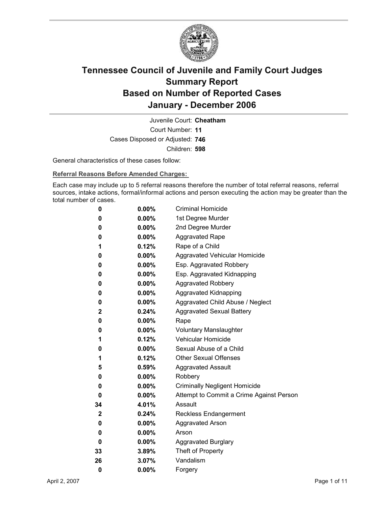

Court Number: **11** Juvenile Court: **Cheatham** Cases Disposed or Adjusted: **746** Children: **598**

General characteristics of these cases follow:

**Referral Reasons Before Amended Charges:** 

Each case may include up to 5 referral reasons therefore the number of total referral reasons, referral sources, intake actions, formal/informal actions and person executing the action may be greater than the total number of cases.

| 0           | $0.00\%$ | <b>Criminal Homicide</b>                 |
|-------------|----------|------------------------------------------|
| 0           | $0.00\%$ | 1st Degree Murder                        |
| 0           | $0.00\%$ | 2nd Degree Murder                        |
| 0           | $0.00\%$ | <b>Aggravated Rape</b>                   |
| 1           | 0.12%    | Rape of a Child                          |
| 0           | $0.00\%$ | Aggravated Vehicular Homicide            |
| 0           | $0.00\%$ | Esp. Aggravated Robbery                  |
| 0           | $0.00\%$ | Esp. Aggravated Kidnapping               |
| 0           | $0.00\%$ | <b>Aggravated Robbery</b>                |
| 0           | $0.00\%$ | <b>Aggravated Kidnapping</b>             |
| 0           | $0.00\%$ | Aggravated Child Abuse / Neglect         |
| 2           | 0.24%    | <b>Aggravated Sexual Battery</b>         |
| 0           | $0.00\%$ | Rape                                     |
| 0           | $0.00\%$ | <b>Voluntary Manslaughter</b>            |
| 1           | $0.12\%$ | <b>Vehicular Homicide</b>                |
| 0           | $0.00\%$ | Sexual Abuse of a Child                  |
| 1           | 0.12%    | <b>Other Sexual Offenses</b>             |
| 5           | $0.59\%$ | <b>Aggravated Assault</b>                |
| 0           | $0.00\%$ | Robbery                                  |
| 0           | $0.00\%$ | <b>Criminally Negligent Homicide</b>     |
| 0           | $0.00\%$ | Attempt to Commit a Crime Against Person |
| 34          | 4.01%    | Assault                                  |
| $\mathbf 2$ | $0.24\%$ | <b>Reckless Endangerment</b>             |
| 0           | $0.00\%$ | <b>Aggravated Arson</b>                  |
| 0           | $0.00\%$ | Arson                                    |
| 0           | $0.00\%$ | <b>Aggravated Burglary</b>               |
| 33          | 3.89%    | Theft of Property                        |
| 26          | 3.07%    | Vandalism                                |
| 0           | 0.00%    | Forgery                                  |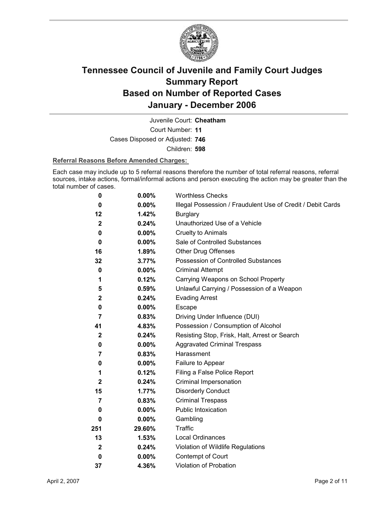

Court Number: **11** Juvenile Court: **Cheatham** Cases Disposed or Adjusted: **746** Children: **598**

#### **Referral Reasons Before Amended Charges:**

Each case may include up to 5 referral reasons therefore the number of total referral reasons, referral sources, intake actions, formal/informal actions and person executing the action may be greater than the total number of cases.

| 0                | 0.00%    | <b>Worthless Checks</b>                                     |
|------------------|----------|-------------------------------------------------------------|
| 0                | 0.00%    | Illegal Possession / Fraudulent Use of Credit / Debit Cards |
| 12               | 1.42%    | <b>Burglary</b>                                             |
| $\mathbf{2}$     | 0.24%    | Unauthorized Use of a Vehicle                               |
| 0                | $0.00\%$ | <b>Cruelty to Animals</b>                                   |
| 0                | $0.00\%$ | Sale of Controlled Substances                               |
| 16               | 1.89%    | <b>Other Drug Offenses</b>                                  |
| 32               | 3.77%    | Possession of Controlled Substances                         |
| 0                | $0.00\%$ | <b>Criminal Attempt</b>                                     |
| 1                | 0.12%    | Carrying Weapons on School Property                         |
| 5                | 0.59%    | Unlawful Carrying / Possession of a Weapon                  |
| $\boldsymbol{2}$ | 0.24%    | <b>Evading Arrest</b>                                       |
| 0                | $0.00\%$ | Escape                                                      |
| $\overline{7}$   | 0.83%    | Driving Under Influence (DUI)                               |
| 41               | 4.83%    | Possession / Consumption of Alcohol                         |
| $\boldsymbol{2}$ | 0.24%    | Resisting Stop, Frisk, Halt, Arrest or Search               |
| 0                | $0.00\%$ | <b>Aggravated Criminal Trespass</b>                         |
| 7                | 0.83%    | Harassment                                                  |
| 0                | $0.00\%$ | Failure to Appear                                           |
| 1                | 0.12%    | Filing a False Police Report                                |
| $\mathbf{2}$     | 0.24%    | Criminal Impersonation                                      |
| 15               | 1.77%    | <b>Disorderly Conduct</b>                                   |
| 7                | 0.83%    | <b>Criminal Trespass</b>                                    |
| 0                | $0.00\%$ | Public Intoxication                                         |
| 0                | $0.00\%$ | Gambling                                                    |
| 251              | 29.60%   | <b>Traffic</b>                                              |
| 13               | 1.53%    | <b>Local Ordinances</b>                                     |
| $\mathbf{2}$     | 0.24%    | Violation of Wildlife Regulations                           |
| 0                | $0.00\%$ | Contempt of Court                                           |
| 37               | 4.36%    | <b>Violation of Probation</b>                               |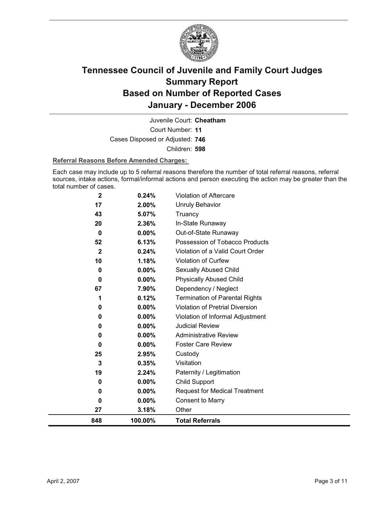

Court Number: **11** Juvenile Court: **Cheatham** Cases Disposed or Adjusted: **746** Children: **598**

#### **Referral Reasons Before Amended Charges:**

Each case may include up to 5 referral reasons therefore the number of total referral reasons, referral sources, intake actions, formal/informal actions and person executing the action may be greater than the total number of cases.

| 0<br>27        | $0.00\%$<br>3.18% | <b>Consent to Marry</b><br>Other         |
|----------------|-------------------|------------------------------------------|
| 0              | $0.00\%$          | <b>Request for Medical Treatment</b>     |
| 0              | 0.00%             | Child Support                            |
| 19             | 2.24%             | Paternity / Legitimation                 |
| 3              | 0.35%             | Visitation                               |
| 25             | 2.95%             | Custody                                  |
| $\bf{0}$       | $0.00\%$          | <b>Foster Care Review</b>                |
| 0              | 0.00%             | <b>Administrative Review</b>             |
| 0              | $0.00\%$          | <b>Judicial Review</b>                   |
| 0              | $0.00\%$          | Violation of Informal Adjustment         |
| 0              | 0.00%             | <b>Violation of Pretrial Diversion</b>   |
| 1              | 0.12%             | <b>Termination of Parental Rights</b>    |
| 67             | 7.90%             | Dependency / Neglect                     |
| 0              | $0.00\%$          | <b>Physically Abused Child</b>           |
| 0              | 0.00%             | Sexually Abused Child                    |
| 10             | 1.18%             | Violation of Curfew                      |
| $\mathbf{2}$   | 0.24%             | Violation of a Valid Court Order         |
| 52             | 6.13%             | Possession of Tobacco Products           |
| 20<br>$\bf{0}$ | 2.36%<br>$0.00\%$ | In-State Runaway<br>Out-of-State Runaway |
| 43             | 5.07%             | Truancy                                  |
| 17             | 2.00%             | <b>Unruly Behavior</b>                   |
| $\mathbf 2$    | 0.24%             |                                          |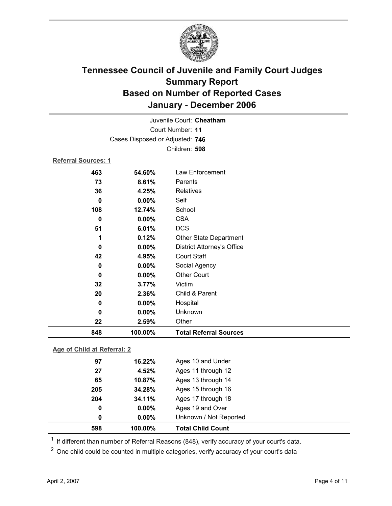

|                            |                                 | Juvenile Court: Cheatham          |
|----------------------------|---------------------------------|-----------------------------------|
| Court Number: 11           |                                 |                                   |
|                            | Cases Disposed or Adjusted: 746 |                                   |
|                            |                                 | Children: 598                     |
| <b>Referral Sources: 1</b> |                                 |                                   |
| 463                        | 54.60%                          | Law Enforcement                   |
| 73                         | 8.61%                           | Parents                           |
| 36                         | 4.25%                           | Relatives                         |
| 0                          | $0.00\%$                        | Self                              |
| 108                        | 12.74%                          | School                            |
| 0                          | 0.00%                           | <b>CSA</b>                        |
| 51                         | 6.01%                           | <b>DCS</b>                        |
| 1                          | 0.12%                           | Other State Department            |
| 0                          | 0.00%                           | <b>District Attorney's Office</b> |
| 42                         | 4.95%                           | <b>Court Staff</b>                |
| 0                          | 0.00%                           | Social Agency                     |
| 0                          | $0.00\%$                        | <b>Other Court</b>                |
| 32                         | 3.77%                           | Victim                            |
| 20                         | 2.36%                           | Child & Parent                    |
| 0                          | 0.00%                           | Hospital                          |
| 0                          | 0.00%                           | Unknown                           |
| 22                         | 2.59%                           | Other                             |
| 848                        | 100.00%                         | <b>Total Referral Sources</b>     |

### **Age of Child at Referral: 2**

| 598 | 100.00%       | <b>Total Child Count</b> |
|-----|---------------|--------------------------|
|     | 0.00%<br>0    | Unknown / Not Reported   |
|     | $0.00\%$<br>0 | Ages 19 and Over         |
| 204 | 34.11%        | Ages 17 through 18       |
| 205 | 34.28%        | Ages 15 through 16       |
| 65  | 10.87%        | Ages 13 through 14       |
| 27  | 4.52%         | Ages 11 through 12       |
| 97  | 16.22%        | Ages 10 and Under        |
|     |               |                          |

<sup>1</sup> If different than number of Referral Reasons (848), verify accuracy of your court's data.

<sup>2</sup> One child could be counted in multiple categories, verify accuracy of your court's data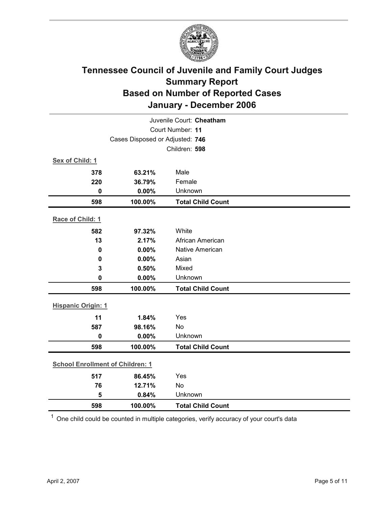

| Juvenile Court: Cheatham                |         |                          |  |
|-----------------------------------------|---------|--------------------------|--|
| Court Number: 11                        |         |                          |  |
| Cases Disposed or Adjusted: 746         |         |                          |  |
|                                         |         | Children: 598            |  |
| Sex of Child: 1                         |         |                          |  |
| 378                                     | 63.21%  | Male                     |  |
| 220                                     | 36.79%  | Female                   |  |
| $\bf{0}$                                | 0.00%   | Unknown                  |  |
| 598                                     | 100.00% | <b>Total Child Count</b> |  |
| Race of Child: 1                        |         |                          |  |
| 582                                     | 97.32%  | White                    |  |
| 13                                      | 2.17%   | African American         |  |
| $\mathbf 0$                             | 0.00%   | <b>Native American</b>   |  |
| $\bf{0}$                                | 0.00%   | Asian                    |  |
| 3                                       | 0.50%   | Mixed                    |  |
| $\mathbf 0$                             | 0.00%   | Unknown                  |  |
| 598                                     | 100.00% | <b>Total Child Count</b> |  |
| <b>Hispanic Origin: 1</b>               |         |                          |  |
| 11                                      | 1.84%   | Yes                      |  |
| 587                                     | 98.16%  | No                       |  |
| $\mathbf 0$                             | 0.00%   | Unknown                  |  |
| 598                                     | 100.00% | <b>Total Child Count</b> |  |
| <b>School Enrollment of Children: 1</b> |         |                          |  |
| 517                                     | 86.45%  | Yes                      |  |
| 76                                      | 12.71%  | No                       |  |
| 5                                       | 0.84%   | Unknown                  |  |
| 598                                     | 100.00% | <b>Total Child Count</b> |  |

 $1$  One child could be counted in multiple categories, verify accuracy of your court's data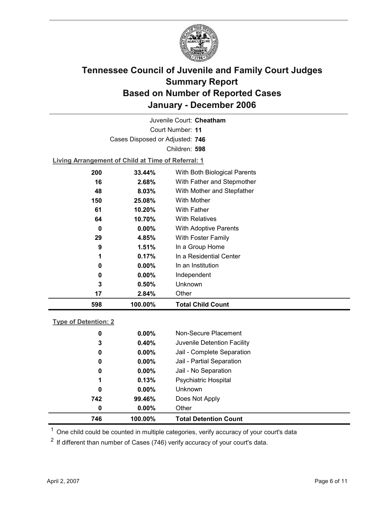

Court Number: **11** Juvenile Court: **Cheatham** Cases Disposed or Adjusted: **746** Children: **598**

**Living Arrangement of Child at Time of Referral: 1**

| 598 | 100.00%  | <b>Total Child Count</b>     |
|-----|----------|------------------------------|
| 17  | 2.84%    | Other                        |
| 3   | 0.50%    | Unknown                      |
| 0   | $0.00\%$ | Independent                  |
| 0   | $0.00\%$ | In an Institution            |
| 1   | 0.17%    | In a Residential Center      |
| 9   | 1.51%    | In a Group Home              |
| 29  | 4.85%    | With Foster Family           |
| 0   | $0.00\%$ | <b>With Adoptive Parents</b> |
| 64  | 10.70%   | <b>With Relatives</b>        |
| 61  | 10.20%   | <b>With Father</b>           |
| 150 | 25.08%   | With Mother                  |
| 48  | 8.03%    | With Mother and Stepfather   |
| 16  | 2.68%    | With Father and Stepmother   |
| 200 | 33.44%   | With Both Biological Parents |
|     |          |                              |

### **Type of Detention: 2**

| 746 | 100.00%  | <b>Total Detention Count</b> |
|-----|----------|------------------------------|
| 0   | $0.00\%$ | Other                        |
| 742 | 99.46%   | Does Not Apply               |
| 0   | $0.00\%$ | <b>Unknown</b>               |
| 1   | 0.13%    | <b>Psychiatric Hospital</b>  |
| 0   | $0.00\%$ | Jail - No Separation         |
| 0   | $0.00\%$ | Jail - Partial Separation    |
| 0   | $0.00\%$ | Jail - Complete Separation   |
| 3   | 0.40%    | Juvenile Detention Facility  |
| 0   | $0.00\%$ | Non-Secure Placement         |
|     |          |                              |

 $<sup>1</sup>$  One child could be counted in multiple categories, verify accuracy of your court's data</sup>

 $2$  If different than number of Cases (746) verify accuracy of your court's data.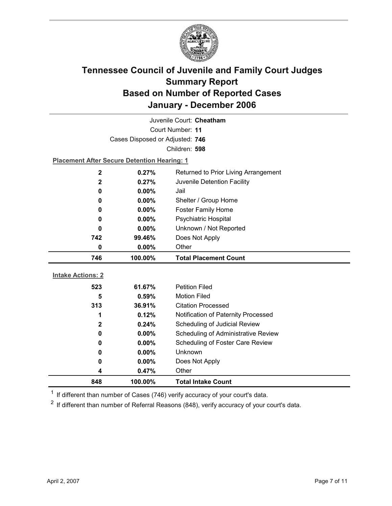

| Juvenile Court: Cheatham |                                                    |                                            |  |  |  |
|--------------------------|----------------------------------------------------|--------------------------------------------|--|--|--|
| Court Number: 11         |                                                    |                                            |  |  |  |
|                          | Cases Disposed or Adjusted: 746                    |                                            |  |  |  |
|                          |                                                    | Children: 598                              |  |  |  |
|                          | <b>Placement After Secure Detention Hearing: 1</b> |                                            |  |  |  |
| $\mathbf 2$              | 0.27%                                              | Returned to Prior Living Arrangement       |  |  |  |
| $\mathbf{2}$             | 0.27%                                              | Juvenile Detention Facility                |  |  |  |
| $\bf{0}$                 | 0.00%                                              | Jail                                       |  |  |  |
| 0                        | $0.00\%$                                           | Shelter / Group Home                       |  |  |  |
| 0                        | $0.00\%$                                           | <b>Foster Family Home</b>                  |  |  |  |
| 0                        | 0.00%                                              | Psychiatric Hospital                       |  |  |  |
| 0                        | $0.00\%$                                           | Unknown / Not Reported                     |  |  |  |
| 742                      | 99.46%                                             | Does Not Apply                             |  |  |  |
| $\bf{0}$                 | 0.00%                                              | Other                                      |  |  |  |
|                          |                                                    |                                            |  |  |  |
| 746                      | 100.00%                                            | <b>Total Placement Count</b>               |  |  |  |
|                          |                                                    |                                            |  |  |  |
| <b>Intake Actions: 2</b> |                                                    |                                            |  |  |  |
| 523                      | 61.67%                                             | <b>Petition Filed</b>                      |  |  |  |
| 5                        | 0.59%                                              | <b>Motion Filed</b>                        |  |  |  |
| 313                      | 36.91%                                             | <b>Citation Processed</b>                  |  |  |  |
| 1                        | 0.12%                                              | Notification of Paternity Processed        |  |  |  |
| $\mathbf{2}$             | 0.24%                                              | Scheduling of Judicial Review              |  |  |  |
| 0                        | 0.00%                                              | <b>Scheduling of Administrative Review</b> |  |  |  |
| 0                        | 0.00%                                              | Scheduling of Foster Care Review           |  |  |  |
| 0                        | $0.00\%$                                           | Unknown                                    |  |  |  |
| 0<br>4                   | $0.00\%$<br>0.47%                                  | Does Not Apply<br>Other                    |  |  |  |

 $1$  If different than number of Cases (746) verify accuracy of your court's data.

 $2$  If different than number of Referral Reasons (848), verify accuracy of your court's data.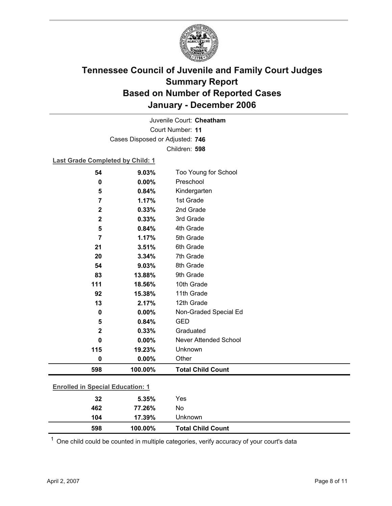

Court Number: **11** Juvenile Court: **Cheatham** Cases Disposed or Adjusted: **746** Children: **598**

### **Last Grade Completed by Child: 1**

| 54                                      | 9.03%   | Too Young for School         |
|-----------------------------------------|---------|------------------------------|
| 0                                       | 0.00%   | Preschool                    |
| 5                                       | 0.84%   | Kindergarten                 |
| 7                                       | 1.17%   | 1st Grade                    |
| $\mathbf 2$                             | 0.33%   | 2nd Grade                    |
| $\mathbf 2$                             | 0.33%   | 3rd Grade                    |
| 5                                       | 0.84%   | 4th Grade                    |
| $\overline{7}$                          | 1.17%   | 5th Grade                    |
| 21                                      | 3.51%   | 6th Grade                    |
| 20                                      | 3.34%   | 7th Grade                    |
| 54                                      | 9.03%   | 8th Grade                    |
| 83                                      | 13.88%  | 9th Grade                    |
| 111                                     | 18.56%  | 10th Grade                   |
| 92                                      | 15.38%  | 11th Grade                   |
| 13                                      | 2.17%   | 12th Grade                   |
| 0                                       | 0.00%   | Non-Graded Special Ed        |
| 5                                       | 0.84%   | <b>GED</b>                   |
| $\mathbf 2$                             | 0.33%   | Graduated                    |
| 0                                       | 0.00%   | <b>Never Attended School</b> |
| 115                                     | 19.23%  | Unknown                      |
| 0                                       | 0.00%   | Other                        |
| 598                                     | 100.00% | <b>Total Child Count</b>     |
| <b>Enrolled in Special Education: 1</b> |         |                              |
| 32                                      | 5.35%   | Yes                          |
| 462                                     | 77.26%  | No                           |

 $1$  One child could be counted in multiple categories, verify accuracy of your court's data

**598 100.00% Total Child Count**

**104 17.39%** Unknown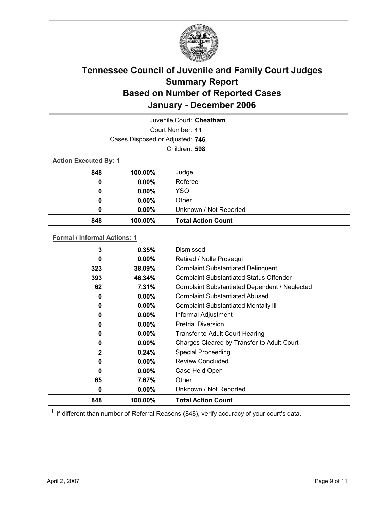

| Juvenile Court: Cheatham     |                                 |                           |  |
|------------------------------|---------------------------------|---------------------------|--|
|                              |                                 | Court Number: 11          |  |
|                              | Cases Disposed or Adjusted: 746 |                           |  |
|                              |                                 | Children: 598             |  |
| <b>Action Executed By: 1</b> |                                 |                           |  |
| 848                          | 100.00%                         | Judge                     |  |
| 0                            | $0.00\%$                        | Referee                   |  |
| 0                            | $0.00\%$                        | <b>YSO</b>                |  |
| 0                            | $0.00\%$                        | Other                     |  |
| 0                            | $0.00\%$                        | Unknown / Not Reported    |  |
| 848                          | 100.00%                         | <b>Total Action Count</b> |  |

### **Formal / Informal Actions: 1**

| 848          | 100.00%  | <b>Total Action Count</b>                      |  |
|--------------|----------|------------------------------------------------|--|
| 0            | $0.00\%$ | Unknown / Not Reported                         |  |
| 65           | 7.67%    | Other                                          |  |
| 0            | $0.00\%$ | Case Held Open                                 |  |
| 0            | $0.00\%$ | Review Concluded                               |  |
| $\mathbf{2}$ | 0.24%    | <b>Special Proceeding</b>                      |  |
| 0            | $0.00\%$ | Charges Cleared by Transfer to Adult Court     |  |
| 0            | $0.00\%$ | Transfer to Adult Court Hearing                |  |
| 0            | $0.00\%$ | <b>Pretrial Diversion</b>                      |  |
| 0            | $0.00\%$ | Informal Adjustment                            |  |
| 0            | $0.00\%$ | <b>Complaint Substantiated Mentally III</b>    |  |
| 0            | $0.00\%$ | <b>Complaint Substantiated Abused</b>          |  |
| 62           | 7.31%    | Complaint Substantiated Dependent / Neglected  |  |
| 393          | 46.34%   | <b>Complaint Substantiated Status Offender</b> |  |
| 323          | 38.09%   | <b>Complaint Substantiated Delinquent</b>      |  |
| 0            | $0.00\%$ | Retired / Nolle Prosequi                       |  |
| 3            | 0.35%    | Dismissed                                      |  |
|              |          |                                                |  |

 $1$  If different than number of Referral Reasons (848), verify accuracy of your court's data.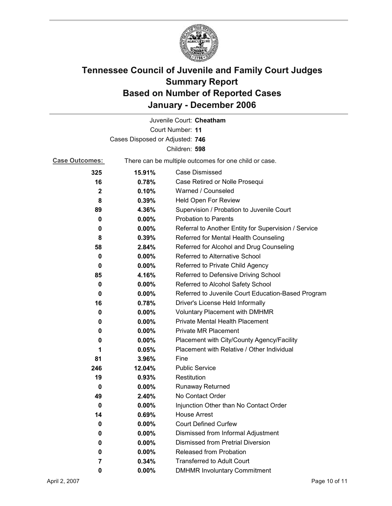

|                                 |                                                       | Juvenile Court: Cheatham                             |
|---------------------------------|-------------------------------------------------------|------------------------------------------------------|
|                                 |                                                       | Court Number: 11                                     |
| Cases Disposed or Adjusted: 746 |                                                       |                                                      |
|                                 |                                                       | Children: 598                                        |
| <b>Case Outcomes:</b>           | There can be multiple outcomes for one child or case. |                                                      |
| 325                             | 15.91%                                                | <b>Case Dismissed</b>                                |
| 16                              | 0.78%                                                 | Case Retired or Nolle Prosequi                       |
| $\mathbf{2}$                    | 0.10%                                                 | Warned / Counseled                                   |
| 8                               | 0.39%                                                 | Held Open For Review                                 |
| 89                              | 4.36%                                                 | Supervision / Probation to Juvenile Court            |
| 0                               | $0.00\%$                                              | <b>Probation to Parents</b>                          |
| 0                               | $0.00\%$                                              | Referral to Another Entity for Supervision / Service |
| 8                               | 0.39%                                                 | Referred for Mental Health Counseling                |
| 58                              | 2.84%                                                 | Referred for Alcohol and Drug Counseling             |
| $\bf{0}$                        | 0.00%                                                 | <b>Referred to Alternative School</b>                |
| 0                               | $0.00\%$                                              | Referred to Private Child Agency                     |
| 85                              | 4.16%                                                 | Referred to Defensive Driving School                 |
| 0                               | $0.00\%$                                              | Referred to Alcohol Safety School                    |
| 0                               | 0.00%                                                 | Referred to Juvenile Court Education-Based Program   |
| 16                              | 0.78%                                                 | Driver's License Held Informally                     |
| 0                               | $0.00\%$                                              | <b>Voluntary Placement with DMHMR</b>                |
| 0                               | 0.00%                                                 | Private Mental Health Placement                      |
| 0                               | $0.00\%$                                              | <b>Private MR Placement</b>                          |
| 0                               | $0.00\%$                                              | Placement with City/County Agency/Facility           |
| 1                               | 0.05%                                                 | Placement with Relative / Other Individual           |
| 81                              | 3.96%                                                 | Fine                                                 |
| 246                             | 12.04%                                                | <b>Public Service</b>                                |
| 19                              | 0.93%                                                 | Restitution                                          |
| 0                               | $0.00\%$                                              | <b>Runaway Returned</b>                              |
| 49                              | 2.40%                                                 | No Contact Order                                     |
| 0                               | 0.00%                                                 | Injunction Other than No Contact Order               |
| 14                              | 0.69%                                                 | <b>House Arrest</b>                                  |
| 0                               | $0.00\%$                                              | <b>Court Defined Curfew</b>                          |
| 0                               | $0.00\%$                                              | Dismissed from Informal Adjustment                   |
| 0                               | $0.00\%$                                              | <b>Dismissed from Pretrial Diversion</b>             |
| 0                               | 0.00%                                                 | Released from Probation                              |
| 7                               | 0.34%                                                 | <b>Transferred to Adult Court</b>                    |
| 0                               | $0.00\%$                                              | <b>DMHMR Involuntary Commitment</b>                  |